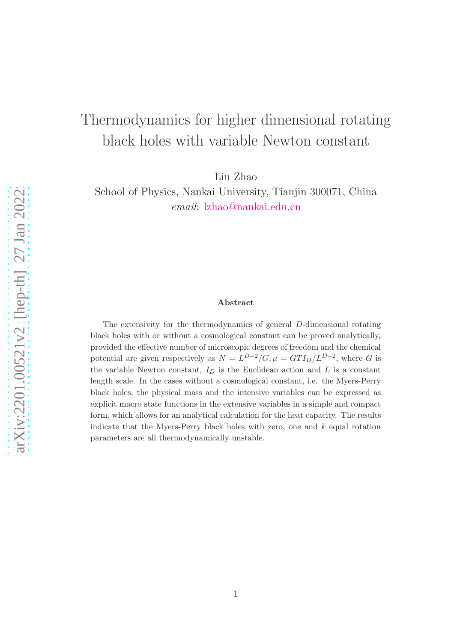# Thermodynamics for higher dimensional rotating black holes with variable Newton constant

Liu Zhao

School of Physics, Nankai University, Tianjin 300071, China email: [lzhao@nankai.edu.cn](mailto:lzhao@nankai.edu.cn)

#### Abstract

The extensivity for the thermodynamics of general D-dimensional rotating black holes with or without a cosmological constant can be proved analytically, provided the effective number of microscopic degrees of freedom and the chemical potential are given respectively as  $N = L^{D-2}/G$ ,  $\mu = GTI_D/L^{D-2}$ , where G is the variable Newton constant,  $I_D$  is the Euclidean action and  $L$  is a constant length scale. In the cases without a cosmological constant, i.e. the Myers-Perry black holes, the physical mass and the intensive variables can be expressed as explicit macro state functions in the extensive variables in a simple and compact form, which allows for an analytical calculation for the heat capacity. The results indicate that the Myers-Perry black holes with zero, one and  $k$  equal rotation parameters are all thermodynamically unstable.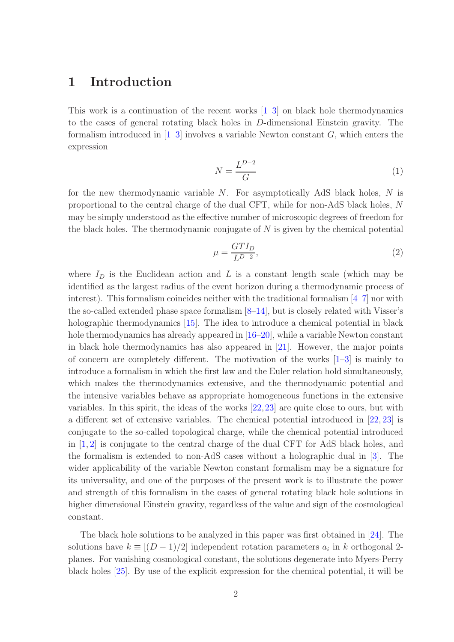# 1 Introduction

This work is a continuation of the recent works [\[1–](#page-13-0)[3\]](#page-13-1) on black hole thermodynamics to the cases of general rotating black holes in D-dimensional Einstein gravity. The formalism introduced in  $[1-3]$  $[1-3]$  involves a variable Newton constant G, which enters the expression

<span id="page-1-0"></span>
$$
N = \frac{L^{D-2}}{G} \tag{1}
$$

for the new thermodynamic variable  $N$ . For asymptotically AdS black holes,  $N$  is proportional to the central charge of the dual CFT, while for non-AdS black holes, N may be simply understood as the effective number of microscopic degrees of freedom for the black holes. The thermodynamic conjugate of  $N$  is given by the chemical potential

<span id="page-1-1"></span>
$$
\mu = \frac{GTI_D}{L^{D-2}},\tag{2}
$$

where  $I_D$  is the Euclidean action and L is a constant length scale (which may be identified as the largest radius of the event horizon during a thermodynamic process of interest). This formalism coincides neither with the traditional formalism  $[4–7]$  $[4–7]$  nor with the so-called extended phase space formalism  $[8-14]$  $[8-14]$ , but is closely related with Visser's holographic thermodynamics [\[15\]](#page-14-1). The idea to introduce a chemical potential in black hole thermodynamics has already appeared in  $[16–20]$  $[16–20]$ , while a variable Newton constant in black hole thermodynamics has also appeared in [\[21\]](#page-14-4). However, the major points of concern are completely different. The motivation of the works  $[1-3]$  $[1-3]$  is mainly to introduce a formalism in which the first law and the Euler relation hold simultaneously, which makes the thermodynamics extensive, and the thermodynamic potential and the intensive variables behave as appropriate homogeneous functions in the extensive variables. In this spirit, the ideas of the works [\[22,](#page-14-5)[23\]](#page-14-6) are quite close to ours, but with a different set of extensive variables. The chemical potential introduced in [\[22,](#page-14-5) [23\]](#page-14-6) is conjugate to the so-called topological charge, while the chemical potential introduced in [\[1,](#page-13-0) [2\]](#page-13-5) is conjugate to the central charge of the dual CFT for AdS black holes, and the formalism is extended to non-AdS cases without a holographic dual in [\[3\]](#page-13-1). The wider applicability of the variable Newton constant formalism may be a signature for its universality, and one of the purposes of the present work is to illustrate the power and strength of this formalism in the cases of general rotating black hole solutions in higher dimensional Einstein gravity, regardless of the value and sign of the cosmological constant.

The black hole solutions to be analyzed in this paper was first obtained in [\[24\]](#page-14-7). The solutions have  $k \equiv [(D-1)/2]$  independent rotation parameters  $a_i$  in k orthogonal 2planes. For vanishing cosmological constant, the solutions degenerate into Myers-Perry black holes [\[25\]](#page-14-8). By use of the explicit expression for the chemical potential, it will be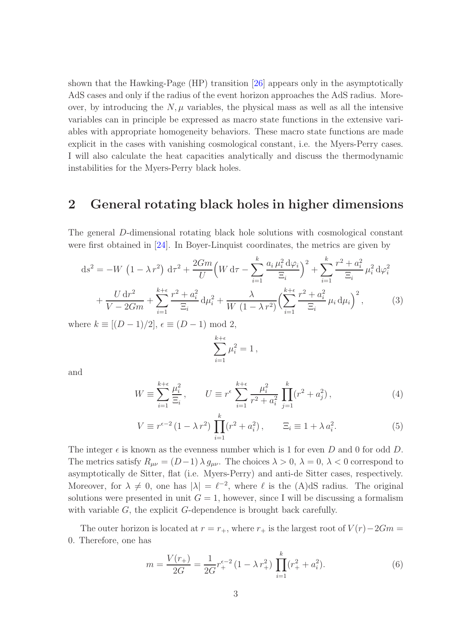shown that the Hawking-Page (HP) transition [\[26\]](#page-14-9) appears only in the asymptotically AdS cases and only if the radius of the event horizon approaches the AdS radius. Moreover, by introducing the  $N, \mu$  variables, the physical mass as well as all the intensive variables can in principle be expressed as macro state functions in the extensive variables with appropriate homogeneity behaviors. These macro state functions are made explicit in the cases with vanishing cosmological constant, i.e. the Myers-Perry cases. I will also calculate the heat capacities analytically and discuss the thermodynamic instabilities for the Myers-Perry black holes.

# 2 General rotating black holes in higher dimensions

The general D-dimensional rotating black hole solutions with cosmological constant were first obtained in [\[24\]](#page-14-7). In Boyer-Linquist coordinates, the metrics are given by

$$
ds^{2} = -W \left(1 - \lambda r^{2}\right) d\tau^{2} + \frac{2Gm}{U} \left(W d\tau - \sum_{i=1}^{k} \frac{a_{i} \mu_{i}^{2} d\varphi_{i}}{\Xi_{i}}\right)^{2} + \sum_{i=1}^{k} \frac{r^{2} + a_{i}^{2}}{\Xi_{i}} \mu_{i}^{2} d\varphi_{i}^{2} + \frac{U d r^{2}}{V - 2Gm} + \sum_{i=1}^{k+\epsilon} \frac{r^{2} + a_{i}^{2}}{\Xi_{i}} d\mu_{i}^{2} + \frac{\lambda}{W (1 - \lambda r^{2})} \left(\sum_{i=1}^{k+\epsilon} \frac{r^{2} + a_{i}^{2}}{\Xi_{i}} \mu_{i} d\mu_{i}\right)^{2}, \qquad (3)
$$

where  $k \equiv [(D-1)/2]$ ,  $\epsilon \equiv (D-1) \mod 2$ ,

$$
\sum_{i=1}^{k+\epsilon} \mu_i^2 = 1 \,,
$$

and

$$
W \equiv \sum_{i=1}^{k+\epsilon} \frac{\mu_i^2}{\Xi_i}, \qquad U \equiv r^{\epsilon} \sum_{i=1}^{k+\epsilon} \frac{\mu_i^2}{r^2 + a_i^2} \prod_{j=1}^k (r^2 + a_j^2), \tag{4}
$$

$$
V \equiv r^{\epsilon - 2} (1 - \lambda r^2) \prod_{i=1}^{k} (r^2 + a_i^2), \qquad \Xi_i \equiv 1 + \lambda a_i^2. \tag{5}
$$

The integer  $\epsilon$  is known as the evenness number which is 1 for even D and 0 for odd D. The metrics satisfy  $R_{\mu\nu} = (D-1)\lambda g_{\mu\nu}$ . The choices  $\lambda > 0$ ,  $\lambda = 0$ ,  $\lambda < 0$  correspond to asymptotically de Sitter, flat (i.e. Myers-Perry) and anti-de Sitter cases, respectively. Moreover, for  $\lambda \neq 0$ , one has  $|\lambda| = \ell^{-2}$ , where  $\ell$  is the (A)dS radius. The original solutions were presented in unit  $G = 1$ , however, since I will be discussing a formalism with variable  $G$ , the explicit  $G$ -dependence is brought back carefully.

The outer horizon is located at  $r = r_+$ , where  $r_+$  is the largest root of  $V(r) - 2Gm =$ 0. Therefore, one has

<span id="page-2-0"></span>
$$
m = \frac{V(r_+)}{2G} = \frac{1}{2G} r_+^{\epsilon - 2} (1 - \lambda r_+^2) \prod_{i=1}^k (r_+^2 + a_i^2).
$$
 (6)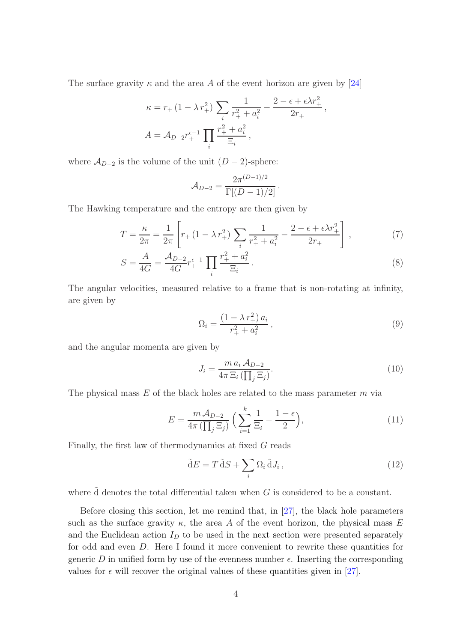The surface gravity  $\kappa$  and the area A of the event horizon are given by [\[24\]](#page-14-7)

$$
\kappa = r_{+} (1 - \lambda r_{+}^{2}) \sum_{i} \frac{1}{r_{+}^{2} + a_{i}^{2}} - \frac{2 - \epsilon + \epsilon \lambda r_{+}^{2}}{2r_{+}},
$$
  

$$
A = A_{D-2} r_{+}^{\epsilon - 1} \prod_{i} \frac{r_{+}^{2} + a_{i}^{2}}{\Xi_{i}},
$$

where  $\mathcal{A}_{D-2}$  is the volume of the unit  $(D-2)$ -sphere:

<span id="page-3-4"></span>
$$
A_{D-2} = \frac{2\pi^{(D-1)/2}}{\Gamma[(D-1)/2]}.
$$

The Hawking temperature and the entropy are then given by

$$
T = \frac{\kappa}{2\pi} = \frac{1}{2\pi} \left[ r_+(1 - \lambda r_+^2) \sum_i \frac{1}{r_+^2 + a_i^2} - \frac{2 - \epsilon + \epsilon \lambda r_+^2}{2r_+} \right],\tag{7}
$$

$$
S = \frac{A}{4G} = \frac{\mathcal{A}_{D-2}}{4G} r_+^{\epsilon - 1} \prod_i \frac{r_+^2 + a_i^2}{\Xi_i}.
$$
 (8)

The angular velocities, measured relative to a frame that is non-rotating at infinity, are given by

<span id="page-3-5"></span><span id="page-3-1"></span>
$$
\Omega_i = \frac{(1 - \lambda r_+^2) a_i}{r_+^2 + a_i^2},\tag{9}
$$

and the angular momenta are given by

<span id="page-3-3"></span><span id="page-3-2"></span>
$$
J_i = \frac{m a_i A_{D-2}}{4\pi \Xi_i \left(\prod_j \Xi_j\right)}.
$$
\n(10)

The physical mass  $E$  of the black holes are related to the mass parameter  $m$  via

$$
E = \frac{m A_{D-2}}{4\pi \left(\prod_j \Xi_j\right)} \left(\sum_{i=1}^k \frac{1}{\Xi_i} - \frac{1-\epsilon}{2}\right),\tag{11}
$$

Finally, the first law of thermodynamics at fixed G reads

<span id="page-3-0"></span>
$$
\tilde{\mathbf{d}}E = T \, \tilde{\mathbf{d}}S + \sum_{i} \Omega_i \, \tilde{\mathbf{d}}J_i \,, \tag{12}
$$

where d denotes the total differential taken when  $G$  is considered to be a constant.

Before closing this section, let me remind that, in [\[27\]](#page-14-10), the black hole parameters such as the surface gravity  $\kappa$ , the area A of the event horizon, the physical mass E and the Euclidean action  $I_D$  to be used in the next section were presented separately for odd and even D. Here I found it more convenient to rewrite these quantities for generic D in unified form by use of the evenness number  $\epsilon$ . Inserting the corresponding values for  $\epsilon$  will recover the original values of these quantities given in [\[27\]](#page-14-10).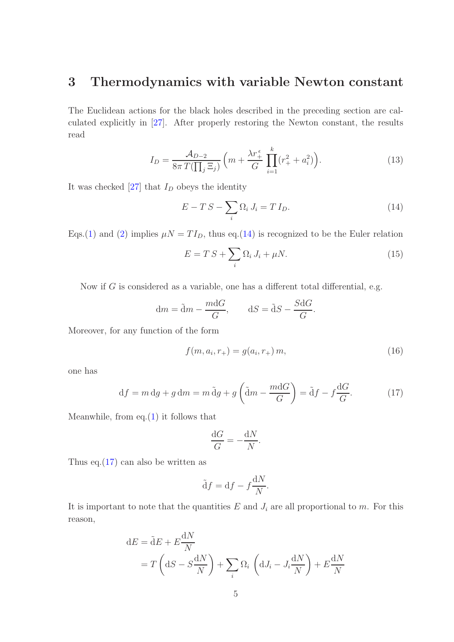# 3 Thermodynamics with variable Newton constant

The Euclidean actions for the black holes described in the preceding section are calculated explicitly in [\[27\]](#page-14-10). After properly restoring the Newton constant, the results read

$$
I_D = \frac{\mathcal{A}_{D-2}}{8\pi T(\prod_j \Xi_j)} \left( m + \frac{\lambda r_+^{\epsilon}}{G} \prod_{i=1}^k (r_+^2 + a_i^2) \right). \tag{13}
$$

It was checked  $[27]$  that  $I_D$  obeys the identity

<span id="page-4-3"></span><span id="page-4-0"></span>
$$
E - TS - \sum_{i} \Omega_i J_i = TI_D. \tag{14}
$$

Eqs.[\(1\)](#page-1-0) and [\(2\)](#page-1-1) implies  $\mu N = TI_D$ , thus eq.[\(14\)](#page-4-0) is recognized to be the Euler relation

<span id="page-4-2"></span>
$$
E = T S + \sum_{i} \Omega_i J_i + \mu N. \tag{15}
$$

Now if  $G$  is considered as a variable, one has a different total differential, e.g.

$$
dm = \tilde{d}m - \frac{mdG}{G}, \qquad dS = \tilde{d}S - \frac{SdG}{G}.
$$

Moreover, for any function of the form

$$
f(m, a_i, r_+) = g(a_i, r_+) m,
$$
\n(16)

one has

$$
df = m dg + g dm = m \tilde{d}g + g \left(\tilde{d}m - \frac{mdG}{G}\right) = \tilde{d}f - f\frac{dG}{G}.
$$
 (17)

Meanwhile, from eq. $(1)$  it follows that

<span id="page-4-1"></span>
$$
\frac{\mathrm{d}G}{G} = -\frac{\mathrm{d}N}{N}.
$$

Thus eq.  $(17)$  can also be written as

$$
\tilde{\mathrm{d}}f = \mathrm{d}f - f\frac{\mathrm{d}N}{N}.
$$

It is important to note that the quantities  $E$  and  $J_i$  are all proportional to  $m$ . For this reason,

 $\ddotsc$ 

$$
dE = \tilde{d}E + E\frac{dN}{N}
$$
  
=  $T\left(dS - S\frac{dN}{N}\right) + \sum_{i} \Omega_{i} \left(dJ_{i} - J_{i}\frac{dN}{N}\right) + E\frac{dN}{N}$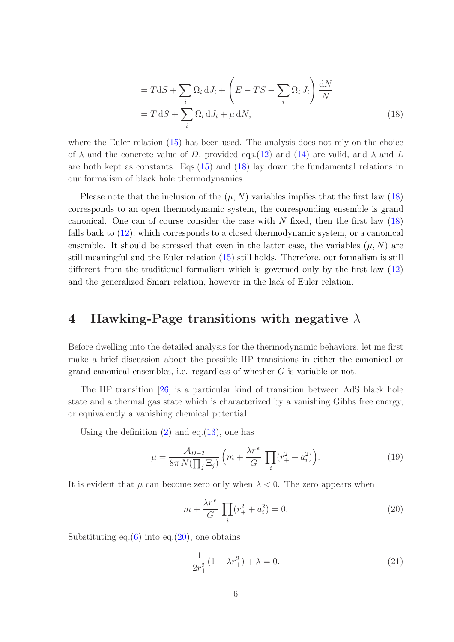<span id="page-5-0"></span>
$$
= T dS + \sum_{i} \Omega_{i} dJ_{i} + \left( E - TS - \sum_{i} \Omega_{i} J_{i} \right) \frac{dN}{N}
$$

$$
= T dS + \sum_{i} \Omega_{i} dJ_{i} + \mu dN,
$$
(18)

where the Euler relation [\(15\)](#page-4-2) has been used. The analysis does not rely on the choice of  $\lambda$  and the concrete value of D, provided eqs. [\(12\)](#page-3-0) and [\(14\)](#page-4-0) are valid, and  $\lambda$  and L are both kept as constants. Eqs.[\(15\)](#page-4-2) and [\(18\)](#page-5-0) lay down the fundamental relations in our formalism of black hole thermodynamics.

Please note that the inclusion of the  $(\mu, N)$  variables implies that the first law [\(18\)](#page-5-0) corresponds to an open thermodynamic system, the corresponding ensemble is grand canonical. One can of course consider the case with  $N$  fixed, then the first law  $(18)$ falls back to [\(12\)](#page-3-0), which corresponds to a closed thermodynamic system, or a canonical ensemble. It should be stressed that even in the latter case, the variables  $(\mu, N)$  are still meaningful and the Euler relation [\(15\)](#page-4-2) still holds. Therefore, our formalism is still different from the traditional formalism which is governed only by the first law [\(12\)](#page-3-0) and the generalized Smarr relation, however in the lack of Euler relation.

# 4 Hawking-Page transitions with negative  $\lambda$

Before dwelling into the detailed analysis for the thermodynamic behaviors, let me first make a brief discussion about the possible HP transitions in either the canonical or grand canonical ensembles, i.e. regardless of whether  $G$  is variable or not.

The HP transition [\[26\]](#page-14-9) is a particular kind of transition between AdS black hole state and a thermal gas state which is characterized by a vanishing Gibbs free energy, or equivalently a vanishing chemical potential.

Using the definition  $(2)$  and eq. $(13)$ , one has

$$
\mu = \frac{\mathcal{A}_{D-2}}{8\pi N(\prod_j \Xi_j)} \left( m + \frac{\lambda r_+^{\epsilon}}{G} \prod_i (r_+^2 + a_i^2) \right). \tag{19}
$$

It is evident that  $\mu$  can become zero only when  $\lambda < 0$ . The zero appears when

<span id="page-5-3"></span>
$$
m + \frac{\lambda r_+^{\epsilon}}{G} \prod_i (r_+^2 + a_i^2) = 0.
$$
 (20)

Substituting eq. $(6)$  into eq. $(20)$ , one obtains

<span id="page-5-2"></span><span id="page-5-1"></span>
$$
\frac{1}{2r_+^2}(1 - \lambda r_+^2) + \lambda = 0.
$$
 (21)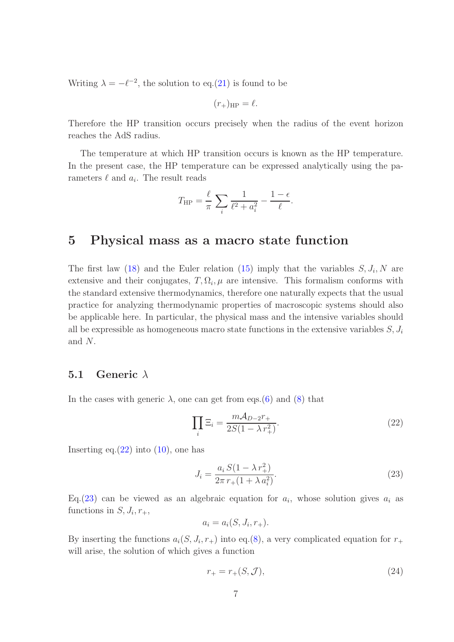Writing  $\lambda = -\ell^{-2}$ , the solution to eq.[\(21\)](#page-5-2) is found to be

$$
(r_{+})_{\text{HP}} = \ell.
$$

Therefore the HP transition occurs precisely when the radius of the event horizon reaches the AdS radius.

The temperature at which HP transition occurs is known as the HP temperature. In the present case, the HP temperature can be expressed analytically using the parameters  $\ell$  and  $a_i$ . The result reads

$$
T_{\rm HP} = \frac{\ell}{\pi} \sum_{i} \frac{1}{\ell^2 + a_i^2} - \frac{1 - \epsilon}{\ell}.
$$

### 5 Physical mass as a macro state function

The first law [\(18\)](#page-5-0) and the Euler relation [\(15\)](#page-4-2) imply that the variables  $S, J_i, N$  are extensive and their conjugates,  $T, \Omega_i, \mu$  are intensive. This formalism conforms with the standard extensive thermodynamics, therefore one naturally expects that the usual practice for analyzing thermodynamic properties of macroscopic systems should also be applicable here. In particular, the physical mass and the intensive variables should all be expressible as homogeneous macro state functions in the extensive variables  $S, J_i$ and N.

### 5.1 Generic  $\lambda$

In the cases with generic  $\lambda$ , one can get from eqs.[\(6\)](#page-2-0) and [\(8\)](#page-3-1) that

<span id="page-6-0"></span>
$$
\prod_{i} \Xi_i = \frac{m\mathcal{A}_{D-2}r_+}{2S(1-\lambda r_+^2)}.
$$
\n(22)

Inserting eq. $(22)$  into  $(10)$ , one has

<span id="page-6-1"></span>
$$
J_i = \frac{a_i S (1 - \lambda r_+^2)}{2\pi r_+ (1 + \lambda a_i^2)}.
$$
\n(23)

Eq.[\(23\)](#page-6-1) can be viewed as an algebraic equation for  $a_i$ , whose solution gives  $a_i$  as functions in  $S, J_i, r_+,$ 

$$
a_i = a_i(S, J_i, r_+).
$$

By inserting the functions  $a_i(S, J_i, r_+)$  into eq.[\(8\)](#page-3-1), a very complicated equation for  $r_+$ will arise, the solution of which gives a function

<span id="page-6-2"></span>
$$
r_{+} = r_{+}(S, \mathcal{J}), \tag{24}
$$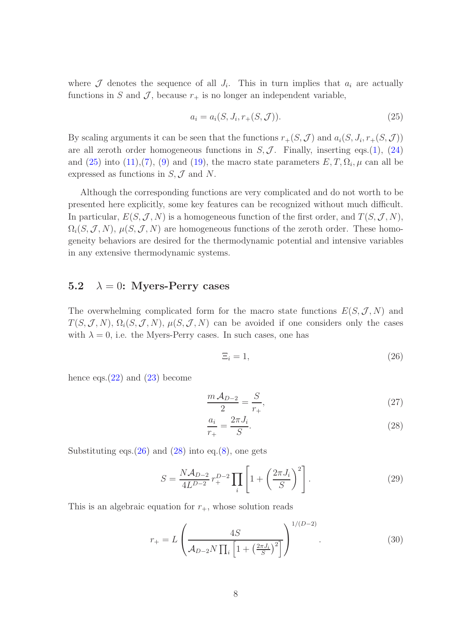where  $\mathcal J$  denotes the sequence of all  $J_i$ . This in turn implies that  $a_i$  are actually functions in S and J, because  $r_+$  is no longer an independent variable,

<span id="page-7-0"></span>
$$
a_i = a_i(S, J_i, r_+(S, \mathcal{J})).
$$
\n(25)

By scaling arguments it can be seen that the functions  $r_{+}(S, \mathcal{J})$  and  $a_{i}(S, J_{i}, r_{+}(S, \mathcal{J}))$ are all zeroth order homogeneous functions in  $S, \mathcal{J}$ . Finally, inserting eqs.[\(1\)](#page-1-0), [\(24\)](#page-6-2) and  $(25)$  into  $(11),(7)$  $(11),(7)$ ,  $(9)$  and  $(19)$ , the macro state parameters  $E, T, \Omega_i, \mu$  can all be expressed as functions in  $S, \mathcal{J}$  and N.

Although the corresponding functions are very complicated and do not worth to be presented here explicitly, some key features can be recognized without much difficult. In particular,  $E(S, \mathcal{J}, N)$  is a homogeneous function of the first order, and  $T(S, \mathcal{J}, N)$ ,  $\Omega_i(S, \mathcal{J}, N)$ ,  $\mu(S, \mathcal{J}, N)$  are homogeneous functions of the zeroth order. These homogeneity behaviors are desired for the thermodynamic potential and intensive variables in any extensive thermodynamic systems.

### 5.2  $\lambda = 0$ : Myers-Perry cases

The overwhelming complicated form for the macro state functions  $E(S, \mathcal{J}, N)$  and  $T(S, \mathcal{J}, N), \Omega_i(S, \mathcal{J}, N), \mu(S, \mathcal{J}, N)$  can be avoided if one considers only the cases with  $\lambda = 0$ , i.e. the Myers-Perry cases. In such cases, one has

<span id="page-7-2"></span><span id="page-7-1"></span>
$$
\Xi_i = 1,\tag{26}
$$

hence eqs. $(22)$  and  $(23)$  become

$$
\frac{m A_{D-2}}{2} = \frac{S}{r_+},\tag{27}
$$

<span id="page-7-3"></span>
$$
\frac{a_i}{r_+} = \frac{2\pi J_i}{S}.\tag{28}
$$

Substituting eqs. $(26)$  and  $(28)$  into eq. $(8)$ , one gets

$$
S = \frac{N\mathcal{A}_{D-2}}{4L^{D-2}} r_{+}^{D-2} \prod_{i} \left[ 1 + \left( \frac{2\pi J_i}{S} \right)^2 \right].
$$
 (29)

This is an algebraic equation for  $r_{+}$ , whose solution reads

$$
r_{+} = L \left( \frac{4S}{\mathcal{A}_{D-2} N \prod_{i} \left[ 1 + \left( \frac{2\pi J_i}{S} \right)^2 \right]} \right)^{1/(D-2)}.
$$
 (30)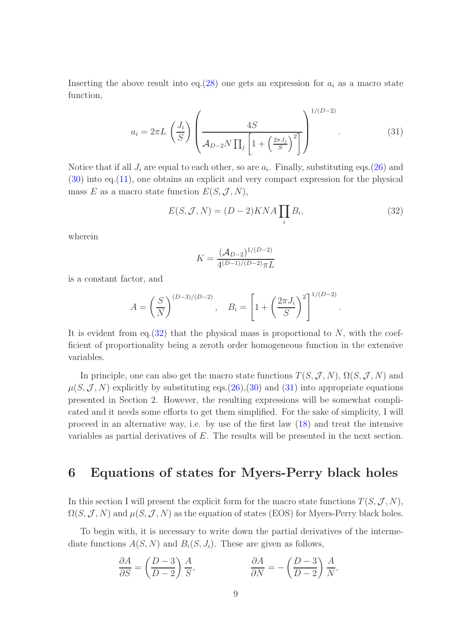Inserting the above result into eq.[\(28\)](#page-7-2) one gets an expression for  $a_i$  as a macro state function,

$$
a_i = 2\pi L \left(\frac{J_i}{S}\right) \left(\frac{4S}{\mathcal{A}_{D-2}N\prod_j \left[1 + \left(\frac{2\pi J_j}{S}\right)^2\right]}\right)^{1/(D-2)}.
$$
 (31)

Notice that if all  $J_i$  are equal to each other, so are  $a_i$ . Finally, substituting eqs.[\(26\)](#page-7-1) and [\(30\)](#page-7-3) into eq.[\(11\)](#page-3-3), one obtains an explicit and very compact expression for the physical mass E as a macro state function  $E(S, \mathcal{J}, N)$ ,

$$
E(S, \mathcal{J}, N) = (D - 2)KNA \prod_{i} B_i,
$$
\n(32)

wherein

<span id="page-8-1"></span><span id="page-8-0"></span>
$$
K = \frac{(\mathcal{A}_{D-2})^{1/(D-2)}}{4^{(D-1)/(D-2)}\pi L}
$$

is a constant factor, and

$$
A = \left(\frac{S}{N}\right)^{(D-3)/(D-2)}, \quad B_i = \left[1 + \left(\frac{2\pi J_i}{S}\right)^2\right]^{1/(D-2)}.
$$

It is evident from eq.  $(32)$  that the physical mass is proportional to N, with the coefficient of proportionality being a zeroth order homogeneous function in the extensive variables.

In principle, one can also get the macro state functions  $T(S, \mathcal{J}, N)$ ,  $\Omega(S, \mathcal{J}, N)$  and  $\mu(S, \mathcal{J}, N)$  explicitly by substituting eqs.[\(26\)](#page-7-1),[\(30\)](#page-7-3) and [\(31\)](#page-8-1) into appropriate equations presented in Section 2. However, the resulting expressions will be somewhat complicated and it needs some efforts to get them simplified. For the sake of simplicity, I will proceed in an alternative way, i.e. by use of the first law [\(18\)](#page-5-0) and treat the intensive variables as partial derivatives of E. The results will be presented in the next section.

# 6 Equations of states for Myers-Perry black holes

In this section I will present the explicit form for the macro state functions  $T(S, \mathcal{J}, N)$ ,  $\Omega(S, \mathcal{J}, N)$  and  $\mu(S, \mathcal{J}, N)$  as the equation of states (EOS) for Myers-Perry black holes.

To begin with, it is necessary to write down the partial derivatives of the intermediate functions  $A(S, N)$  and  $B<sub>i</sub>(S, J<sub>i</sub>)$ . These are given as follows,

$$
\frac{\partial A}{\partial S} = \left(\frac{D-3}{D-2}\right)\frac{A}{S}, \qquad \frac{\partial A}{\partial N} = -\left(\frac{D-3}{D-2}\right)\frac{A}{N},
$$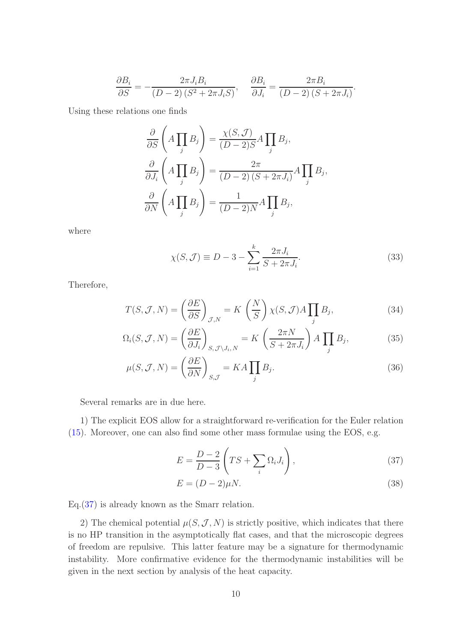$$
\frac{\partial B_i}{\partial S} = -\frac{2\pi J_i B_i}{(D-2)(S^2 + 2\pi J_i S)}, \quad \frac{\partial B_i}{\partial J_i} = \frac{2\pi B_i}{(D-2)(S + 2\pi J_i)}
$$

Using these relations one finds

$$
\frac{\partial}{\partial S} \left( A \prod_j B_j \right) = \frac{\chi(S, \mathcal{J})}{(D - 2)S} A \prod_j B_j,
$$
\n
$$
\frac{\partial}{\partial J_i} \left( A \prod_j B_j \right) = \frac{2\pi}{(D - 2)(S + 2\pi J_i)} A \prod_j B_j,
$$
\n
$$
\frac{\partial}{\partial N} \left( A \prod_j B_j \right) = \frac{1}{(D - 2)N} A \prod_j B_j,
$$

where

$$
\chi(S,\mathcal{J}) \equiv D - 3 - \sum_{i=1}^{k} \frac{2\pi J_i}{S + 2\pi J_i}.
$$
\n(33)

<span id="page-9-2"></span><span id="page-9-1"></span>.

Therefore,

$$
T(S, \mathcal{J}, N) = \left(\frac{\partial E}{\partial S}\right)_{\mathcal{J}, N} = K\left(\frac{N}{S}\right) \chi(S, \mathcal{J}) A \prod_{j} B_{j},\tag{34}
$$

$$
\Omega_i(S, \mathcal{J}, N) = \left(\frac{\partial E}{\partial J_i}\right)_{S, \mathcal{J} \setminus J_i, N} = K \left(\frac{2\pi N}{S + 2\pi J_i}\right) A \prod_j B_j,
$$
\n(35)

$$
\mu(S, \mathcal{J}, N) = \left(\frac{\partial E}{\partial N}\right)_{S, \mathcal{J}} = KA \prod_{j} B_j.
$$
\n(36)

Several remarks are in due here.

1) The explicit EOS allow for a straightforward re-verification for the Euler relation [\(15\)](#page-4-2). Moreover, one can also find some other mass formulae using the EOS, e.g.

<span id="page-9-0"></span>
$$
E = \frac{D-2}{D-3} \left( TS + \sum_{i} \Omega_i J_i \right),\tag{37}
$$

$$
E = (D - 2)\mu N. \tag{38}
$$

Eq.[\(37\)](#page-9-0) is already known as the Smarr relation.

2) The chemical potential  $\mu(S, \mathcal{J}, N)$  is strictly positive, which indicates that there is no HP transition in the asymptotically flat cases, and that the microscopic degrees of freedom are repulsive. This latter feature may be a signature for thermodynamic instability. More confirmative evidence for the thermodynamic instabilities will be given in the next section by analysis of the heat capacity.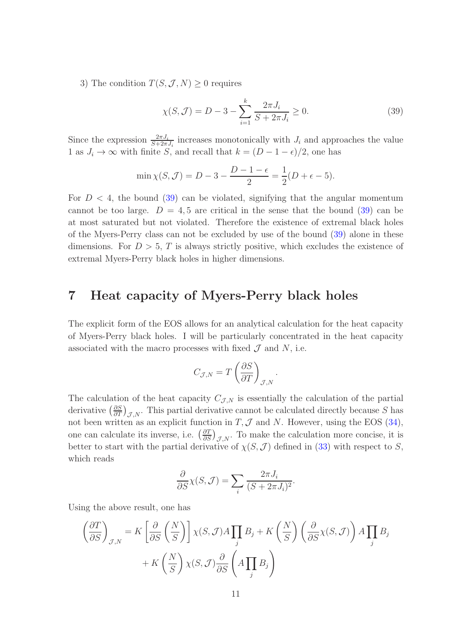3) The condition  $T(S, \mathcal{J}, N) \geq 0$  requires

<span id="page-10-0"></span>
$$
\chi(S, \mathcal{J}) = D - 3 - \sum_{i=1}^{k} \frac{2\pi J_i}{S + 2\pi J_i} \ge 0.
$$
 (39)

Since the expression  $\frac{2\pi J_i}{S+2\pi J_i}$  increases monotonically with  $J_i$  and approaches the value 1 as  $J_i \to \infty$  with finite S, and recall that  $k = (D - 1 - \epsilon)/2$ , one has

$$
\min \chi(S, \mathcal{J}) = D - 3 - \frac{D - 1 - \epsilon}{2} = \frac{1}{2}(D + \epsilon - 5).
$$

For  $D < 4$ , the bound [\(39\)](#page-10-0) can be violated, signifying that the angular momentum cannot be too large.  $D = 4, 5$  are critical in the sense that the bound [\(39\)](#page-10-0) can be at most saturated but not violated. Therefore the existence of extremal black holes of the Myers-Perry class can not be excluded by use of the bound [\(39\)](#page-10-0) alone in these dimensions. For  $D > 5$ , T is always strictly positive, which excludes the existence of extremal Myers-Perry black holes in higher dimensions.

### 7 Heat capacity of Myers-Perry black holes

The explicit form of the EOS allows for an analytical calculation for the heat capacity of Myers-Perry black holes. I will be particularly concentrated in the heat capacity associated with the macro processes with fixed  $\mathcal J$  and  $N$ , i.e.

$$
C_{\mathcal{J},N} = T \left( \frac{\partial S}{\partial T} \right)_{\mathcal{J},N}.
$$

The calculation of the heat capacity  $C_{\mathcal{J},N}$  is essentially the calculation of the partial derivative  $\left(\frac{\partial S}{\partial T}\right)_{\mathcal{J},N}$ . This partial derivative cannot be calculated directly because S has not been written as an explicit function in  $T, \mathcal{J}$  and N. However, using the EOS [\(34\)](#page-9-1), one can calculate its inverse, i.e.  $\left(\frac{\partial T}{\partial S}\right)_{\mathcal{J},N}$ . To make the calculation more concise, it is better to start with the partial derivative of  $\chi(S, \mathcal{J})$  defined in [\(33\)](#page-9-2) with respect to S, which reads

$$
\frac{\partial}{\partial S} \chi(S, \mathcal{J}) = \sum_{i} \frac{2\pi J_i}{(S + 2\pi J_i)^2}.
$$

Using the above result, one has

$$
\left(\frac{\partial T}{\partial S}\right)_{\mathcal{J},N} = K \left[\frac{\partial}{\partial S} \left(\frac{N}{S}\right)\right] \chi(S, \mathcal{J}) A \prod_{j} B_{j} + K \left(\frac{N}{S}\right) \left(\frac{\partial}{\partial S} \chi(S, \mathcal{J})\right) A \prod_{j} B_{j}
$$

$$
+ K \left(\frac{N}{S}\right) \chi(S, \mathcal{J}) \frac{\partial}{\partial S} \left(A \prod_{j} B_{j}\right)
$$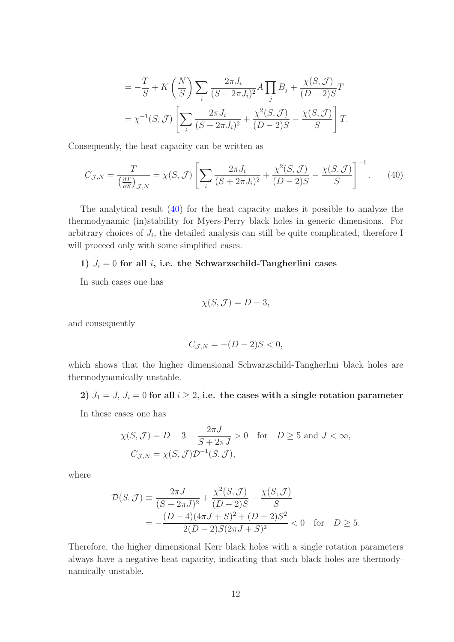$$
= -\frac{T}{S} + K\left(\frac{N}{S}\right) \sum_{i} \frac{2\pi J_i}{(S + 2\pi J_i)^2} A \prod_{j} B_j + \frac{\chi(S, \mathcal{J})}{(D - 2)S} T
$$

$$
= \chi^{-1}(S, \mathcal{J}) \left[ \sum_{i} \frac{2\pi J_i}{(S + 2\pi J_i)^2} + \frac{\chi^2(S, \mathcal{J})}{(D - 2)S} - \frac{\chi(S, \mathcal{J})}{S} \right] T.
$$

Consequently, the heat capacity can be written as

$$
C_{\mathcal{J},N} = \frac{T}{\left(\frac{\partial T}{\partial S}\right)_{\mathcal{J},N}} = \chi(S,\mathcal{J}) \left[ \sum_{i} \frac{2\pi J_i}{(S+2\pi J_i)^2} + \frac{\chi^2(S,\mathcal{J})}{(D-2)S} - \frac{\chi(S,\mathcal{J})}{S} \right]^{-1}.
$$
 (40)

The analytical result [\(40\)](#page-11-0) for the heat capacity makes it possible to analyze the thermodynamic (in)stability for Myers-Perry black holes in generic dimensions. For arbitrary choices of  $J_i$ , the detailed analysis can still be quite complicated, therefore I will proceed only with some simplified cases.

#### 1)  $J_i = 0$  for all i, i.e. the Schwarzschild-Tangherlini cases

In such cases one has

<span id="page-11-0"></span>
$$
\chi(S, \mathcal{J}) = D - 3,
$$

and consequently

$$
C_{\mathcal{J},N} = -(D-2)S < 0,
$$

which shows that the higher dimensional Schwarzschild-Tangherlini black holes are thermodynamically unstable.

#### 2)  $J_1 = J$ ,  $J_i = 0$  for all  $i \geq 2$ , i.e. the cases with a single rotation parameter

In these cases one has

$$
\chi(S, \mathcal{J}) = D - 3 - \frac{2\pi J}{S + 2\pi J} > 0 \quad \text{for} \quad D \ge 5 \text{ and } J < \infty,
$$
  

$$
C_{\mathcal{J}, N} = \chi(S, \mathcal{J}) \mathcal{D}^{-1}(S, \mathcal{J}),
$$

where

$$
\mathcal{D}(S, \mathcal{J}) \equiv \frac{2\pi J}{(S + 2\pi J)^2} + \frac{\chi^2(S, \mathcal{J})}{(D - 2)S} - \frac{\chi(S, \mathcal{J})}{S}
$$
  
= 
$$
-\frac{(D - 4)(4\pi J + S)^2 + (D - 2)S^2}{2(D - 2)S(2\pi J + S)^2} < 0 \text{ for } D \ge 5.
$$

Therefore, the higher dimensional Kerr black holes with a single rotation parameters always have a negative heat capacity, indicating that such black holes are thermodynamically unstable.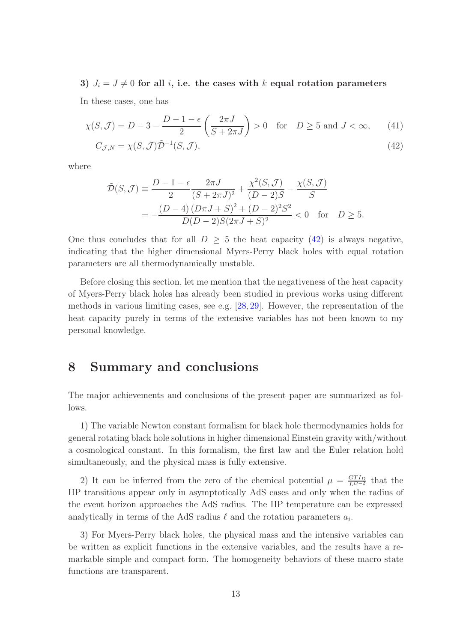#### 3)  $J_i = J \neq 0$  for all i, i.e. the cases with k equal rotation parameters

In these cases, one has

$$
\chi(S,\mathcal{J}) = D - 3 - \frac{D - 1 - \epsilon}{2} \left( \frac{2\pi J}{S + 2\pi J} \right) > 0 \quad \text{for} \quad D \ge 5 \text{ and } J < \infty,
$$
 (41)  

$$
C_{\mathcal{J},N} = \chi(S,\mathcal{J})\tilde{\mathcal{D}}^{-1}(S,\mathcal{J}),
$$
 (42)

where

<span id="page-12-0"></span>
$$
\tilde{\mathcal{D}}(S,\mathcal{J}) \equiv \frac{D-1-\epsilon}{2} \frac{2\pi J}{(S+2\pi J)^2} + \frac{\chi^2(S,\mathcal{J})}{(D-2)S} - \frac{\chi(S,\mathcal{J})}{S}
$$

$$
= -\frac{(D-4)(D\pi J + S)^2 + (D-2)^2 S^2}{D(D-2)S(2\pi J + S)^2} < 0 \text{ for } D \ge 5.
$$

One thus concludes that for all  $D > 5$  the heat capacity [\(42\)](#page-12-0) is always negative, indicating that the higher dimensional Myers-Perry black holes with equal rotation parameters are all thermodynamically unstable.

Before closing this section, let me mention that the negativeness of the heat capacity of Myers-Perry black holes has already been studied in previous works using different methods in various limiting cases, see e.g. [\[28,](#page-14-11) [29\]](#page-14-12). However, the representation of the heat capacity purely in terms of the extensive variables has not been known to my personal knowledge.

### 8 Summary and conclusions

The major achievements and conclusions of the present paper are summarized as follows.

1) The variable Newton constant formalism for black hole thermodynamics holds for general rotating black hole solutions in higher dimensional Einstein gravity with/without a cosmological constant. In this formalism, the first law and the Euler relation hold simultaneously, and the physical mass is fully extensive.

2) It can be inferred from the zero of the chemical potential  $\mu = \frac{GTI_D}{L^{D-2}}$  that the HP transitions appear only in asymptotically AdS cases and only when the radius of the event horizon approaches the AdS radius. The HP temperature can be expressed analytically in terms of the AdS radius  $\ell$  and the rotation parameters  $a_i$ .

3) For Myers-Perry black holes, the physical mass and the intensive variables can be written as explicit functions in the extensive variables, and the results have a remarkable simple and compact form. The homogeneity behaviors of these macro state functions are transparent.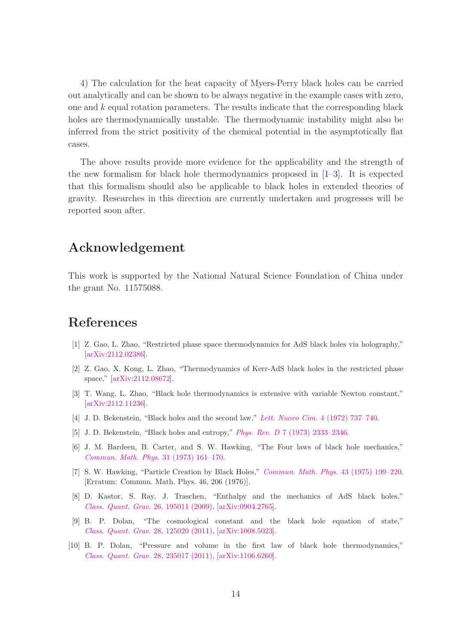4) The calculation for the heat capacity of Myers-Perry black holes can be carried out analytically and can be shown to be always negative in the example cases with zero, one and  $k$  equal rotation parameters. The results indicate that the corresponding black holes are thermodynamically unstable. The thermodynamic instability might also be inferred from the strict positivity of the chemical potential in the asymptotically flat cases.

The above results provide more evidence for the applicability and the strength of the new formalism for black hole thermodynamics proposed in [\[1–](#page-13-0)[3\]](#page-13-1). It is expected that this formalism should also be applicable to black holes in extended theories of gravity. Researches in this direction are currently undertaken and progresses will be reported soon after.

# Acknowledgement

This work is supported by the National Natural Science Foundation of China under the grant No. 11575088.

# <span id="page-13-0"></span>References

- <span id="page-13-5"></span>[1] Z. Gao, L. Zhao, "Restricted phase space thermodynamics for AdS black holes via holography," [\[arXiv:2112.02386\]](http://arxiv.org/abs/2112.02386).
- <span id="page-13-1"></span>[2] Z. Gao, X. Kong, L. Zhao, "Thermodynamics of Kerr-AdS black holes in the restricted phase space," [\[arXiv:2112.08672\]](http://arxiv.org/abs/2112.08672).
- <span id="page-13-2"></span>[3] T. Wang, L. Zhao, "Black hole thermodynamics is extensive with variable Newton constant," [\[arXiv:2112.11236\]](http://arxiv.org/abs/2112.11236).
- [4] J. D. Bekenstein, "Black holes and the second law," [Lett. Nuovo Cim.](https://link.springer.com/article/10.1007%2FBF02757029) 4 (1972) 737–740.
- [5] J. D. Bekenstein, "Black holes and entropy," Phys. Rev. D [7 \(1973\) 2333–2346.](http://dx.doi.org/10.1103/PhysRevD.7.2333)
- [6] J. M. Bardeen, B. Carter, and S. W. Hawking, "The Four laws of black hole mechanics," [Commun. Math. Phys.](https://link.springer.com/article/10.1007%2FBF01645742) 31 (1973) 161–170.
- <span id="page-13-3"></span>[7] S. W. Hawking, "Particle Creation by Black Holes," [Commun. Math. Phys.](https://link.springer.com/article/10.1007%2FBF02345020) 43 (1975) 199–220. [Erratum: Commun. Math. Phys. 46, 206 (1976)].
- <span id="page-13-4"></span>[8] D. Kastor, S. Ray, J. Traschen, "Enthalpy and the mechanics of AdS black holes," [Class. Quant. Grav.](https://iopscience.iop.org/article/10.1088/0264-9381/26/19/195011) 26, 195011 (2009), [\[arXiv:0904.2765\]](http://arxiv.org/abs/0904.2765).
- [9] B. P. Dolan, "The cosmological constant and the black hole equation of state," [Class. Quant. Grav.](https://iopscience.iop.org/article/10.1088/0264-9381/28/12/125020) 28, 125020 (2011), [\[arXiv:1008.5023\]](http://arxiv.org/abs/1008.5023).
- [10] B. P. Dolan, "Pressure and volume in the first law of black hole thermodynamics," [Class. Quant. Grav.](https://iopscience.iop.org/article/10.1088/0264-9381/28/23/235017) 28, 235017 (2011), [\[arXiv:1106.6260\]](http://arxiv.org/abs/1106.6260).